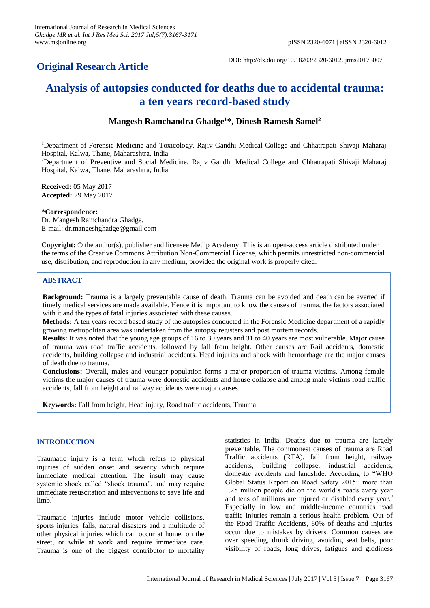# **Original Research Article**

DOI: http://dx.doi.org/10.18203/2320-6012.ijrms20173007

# **Analysis of autopsies conducted for deaths due to accidental trauma: a ten years record-based study**

# **Mangesh Ramchandra Ghadge<sup>1</sup>\*, Dinesh Ramesh Samel<sup>2</sup>**

<sup>1</sup>Department of Forensic Medicine and Toxicology, Rajiv Gandhi Medical College and Chhatrapati Shivaji Maharaj Hospital, Kalwa, Thane, Maharashtra, India

<sup>2</sup>Department of Preventive and Social Medicine, Rajiv Gandhi Medical College and Chhatrapati Shivaji Maharaj Hospital, Kalwa, Thane, Maharashtra, India

**Received:** 05 May 2017 **Accepted:** 29 May 2017

#### **\*Correspondence:**

Dr. Mangesh Ramchandra Ghadge, E-mail: dr.mangeshghadge@gmail.com

**Copyright:** © the author(s), publisher and licensee Medip Academy. This is an open-access article distributed under the terms of the Creative Commons Attribution Non-Commercial License, which permits unrestricted non-commercial use, distribution, and reproduction in any medium, provided the original work is properly cited.

# **ABSTRACT**

**Background:** Trauma is a largely preventable cause of death. Trauma can be avoided and death can be averted if timely medical services are made available. Hence it is important to know the causes of trauma, the factors associated with it and the types of fatal injuries associated with these causes.

**Methods:** A ten years record based study of the autopsies conducted in the Forensic Medicine department of a rapidly growing metropolitan area was undertaken from the autopsy registers and post mortem records.

**Results:** It was noted that the young age groups of 16 to 30 years and 31 to 40 years are most vulnerable. Major cause of trauma was road traffic accidents, followed by fall from height. Other causes are Rail accidents, domestic accidents, building collapse and industrial accidents. Head injuries and shock with hemorrhage are the major causes of death due to trauma.

**Conclusions:** Overall, males and younger population forms a major proportion of trauma victims. Among female victims the major causes of trauma were domestic accidents and house collapse and among male victims road traffic accidents, fall from height and railway accidents were major causes.

**Keywords:** Fall from height, Head injury, Road traffic accidents, Trauma

# **INTRODUCTION**

Traumatic injury is a term which refers to physical injuries of sudden onset and severity which require immediate medical attention. The insult may cause systemic shock called "shock trauma", and may require immediate resuscitation and interventions to save life and limb.<sup>1</sup>

Traumatic injuries include motor vehicle collisions, sports injuries, falls, natural disasters and a multitude of other physical injuries which can occur at home, on the street, or while at work and require immediate care. Trauma is one of the biggest contributor to mortality statistics in India. Deaths due to trauma are largely preventable. The commonest causes of trauma are Road Traffic accidents (RTA), fall from height, railway accidents, building collapse, industrial accidents, domestic accidents and landslide. According to "WHO Global Status Report on Road Safety 2015" more than 1.25 million people die on the world's roads every year and tens of millions are injured or disabled every year.<sup>2</sup> Especially in low and middle-income countries road traffic injuries remain a serious health problem. Out of the Road Traffic Accidents, 80% of deaths and injuries occur due to mistakes by drivers. Common causes are over speeding, drunk driving, avoiding seat belts, poor visibility of roads, long drives, fatigues and giddiness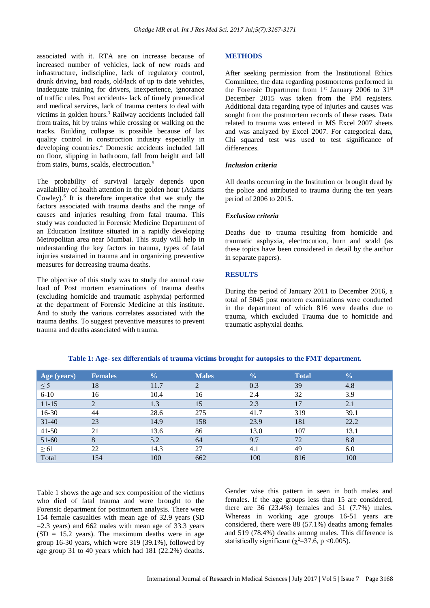associated with it. RTA are on increase because of increased number of vehicles, lack of new roads and infrastructure, indiscipline, lack of regulatory control, drunk driving, bad roads, old/lack of up to date vehicles, inadequate training for drivers, inexperience, ignorance of traffic rules. Post accidents- lack of timely premedical and medical services, lack of trauma centers to deal with victims in golden hours. <sup>3</sup> Railway accidents included fall from trains, hit by trains while crossing or walking on the tracks. Building collapse is possible because of lax quality control in construction industry especially in developing countries. <sup>4</sup> Domestic accidents included fall on floor, slipping in bathroom, fall from height and fall from stairs, burns, scalds, electrocution.<sup>5</sup>

The probability of survival largely depends upon availability of health attention in the golden hour (Adams Cowley). 6 It is therefore imperative that we study the factors associated with trauma deaths and the range of causes and injuries resulting from fatal trauma. This study was conducted in Forensic Medicine Department of an Education Institute situated in a rapidly developing Metropolitan area near Mumbai. This study will help in understanding the key factors in trauma, types of fatal injuries sustained in trauma and in organizing preventive measures for decreasing trauma deaths.

The objective of this study was to study the annual case load of Post mortem examinations of trauma deaths (excluding homicide and traumatic asphyxia) performed at the department of Forensic Medicine at this institute. And to study the various correlates associated with the trauma deaths. To suggest preventive measures to prevent trauma and deaths associated with trauma.

# **METHODS**

After seeking permission from the Institutional Ethics Committee, the data regarding postmortems performed in the Forensic Department from 1<sup>st</sup> January 2006 to 31<sup>st</sup> December 2015 was taken from the PM registers. Additional data regarding type of injuries and causes was sought from the postmortem records of these cases. Data related to trauma was entered in MS Excel 2007 sheets and was analyzed by Excel 2007. For categorical data, Chi squared test was used to test significance of differences.

# *Inclusion criteria*

All deaths occurring in the Institution or brought dead by the police and attributed to trauma during the ten years period of 2006 to 2015.

# *Exclusion criteria*

Deaths due to trauma resulting from homicide and traumatic asphyxia, electrocution, burn and scald (as these topics have been considered in detail by the author in separate papers).

# **RESULTS**

During the period of January 2011 to December 2016, a total of 5045 post mortem examinations were conducted in the department of which 816 were deaths due to trauma, which excluded Trauma due to homicide and traumatic asphyxial deaths.

| Age (years) | <b>Females</b> | $\frac{0}{0}$ | <b>Males</b> | $\frac{0}{0}$ | <b>Total</b> | $\frac{0}{0}$ |
|-------------|----------------|---------------|--------------|---------------|--------------|---------------|
| $\leq$ 5    | 18             | 11.7          | ↑            | 0.3           | 39           | 4.8           |
| $6 - 10$    | 16             | 10.4          | 16           | 2.4           | 32           | 3.9           |
| $11 - 15$   |                | 1.3           | 15           | 2.3           | 17           | 2.1           |
| 16-30       | 44             | 28.6          | 275          | 41.7          | 319          | 39.1          |
| $31 - 40$   | 23             | 14.9          | 158          | 23.9          | 181          | 22.2          |
| $41 - 50$   | 21             | 13.6          | 86           | 13.0          | 107          | 13.1          |
| $51-60$     | 8              | 5.2           | 64           | 9.7           | 72           | 8.8           |
| $\geq 61$   | 22             | 14.3          | 27           | 4.1           | 49           | 6.0           |
| Total       | 154            | 100           | 662          | 100           | 816          | 100           |

#### **Table 1: Age- sex differentials of trauma victims brought for autopsies to the FMT department.**

Table 1 shows the age and sex composition of the victims who died of fatal trauma and were brought to the Forensic department for postmortem analysis. There were 154 female casualties with mean age of 32.9 years (SD  $=$  2.3 years) and 662 males with mean age of 33.3 years  $(SD = 15.2$  years). The maximum deaths were in age group 16-30 years, which were 319 (39.1%), followed by age group 31 to 40 years which had 181 (22.2%) deaths.

Gender wise this pattern in seen in both males and females. If the age groups less than 15 are considered, there are  $36$   $(23.4\%)$  females and  $51$   $(7.7\%)$  males. Whereas in working age groups 16-51 years are considered, there were 88 (57.1%) deaths among females and 519 (78.4%) deaths among males. This difference is statistically significant ( $\chi^2$ =37.6, p <0.005).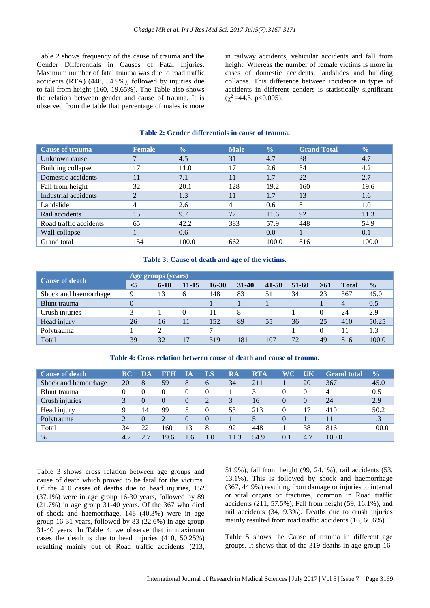Table 2 shows frequency of the cause of trauma and the Gender Differentials in Causes of Fatal Injuries. Maximum number of fatal trauma was due to road traffic accidents (RTA) (448, 54.9%), followed by injuries due to fall from height (160, 19.65%). The Table also shows the relation between gender and cause of trauma. It is observed from the table that percentage of males is more in railway accidents, vehicular accidents and fall from height. Whereas the number of female victims is more in cases of domestic accidents, landslides and building collapse. This difference between incidence in types of accidents in different genders is statistically significant  $(\chi^2 = 44.3, \, p < 0.005).$ 

#### **Table 2: Gender differentials in cause of trauma.**

| <b>Cause of trauma</b> | <b>Female</b>  | $\frac{1}{2}$ | <b>Male</b> | $\overline{\mathbf{0}}_0$ | <b>Grand Total</b> | $\sqrt{0}$ |
|------------------------|----------------|---------------|-------------|---------------------------|--------------------|------------|
| Unknown cause          |                | 4.5           | 31          | 4.7                       | 38                 | 4.7        |
| Building collapse      | 17             | 11.0          | 17          | 2.6                       | 34                 | 4.2        |
| Domestic accidents     | 11             | 7.1           | 11          | 1.7                       | 22                 | 2.7        |
| Fall from height       | 32             | 20.1          | 128         | 19.2                      | 160                | 19.6       |
| Industrial accidents   | $\overline{2}$ | 1.3           | 11          | 1.7                       | 13                 | 1.6        |
| Landslide              | 4              | 2.6           | 4           | 0.6                       | 8                  | 1.0        |
| Rail accidents         | 15             | 9.7           | 77          | 11.6                      | 92                 | 11.3       |
| Road traffic accidents | 65             | 42.2          | 383         | 57.9                      | 448                | 54.9       |
| Wall collapse          |                | 0.6           |             | 0.0                       |                    | 0.1        |
| Grand total            | 54             | 100.0         | 662         | 100.0                     | 816                | 100.0      |

### **Table 3: Cause of death and age of the victims.**

| <b>Cause of death</b> | Age groups (years) |          |           |           |           |           |       |          |              |               |  |
|-----------------------|--------------------|----------|-----------|-----------|-----------|-----------|-------|----------|--------------|---------------|--|
|                       | $<$ 5              | $6 - 10$ | $11 - 15$ | $16 - 30$ | $31 - 40$ | $41 - 50$ | 51-60 | >61      | <b>Total</b> | $\frac{0}{0}$ |  |
| Shock and haemorrhage | 9                  | 13       | 6         | 148       | 83        | 51        | 34    | 23       | 367          | 45.0          |  |
| Blunt trauma          |                    |          |           |           |           |           |       |          | 4            | 0.5           |  |
| Crush injuries        | 2                  |          |           | 11        | 8         |           |       | $\theta$ | 24           | 2.9           |  |
| Head injury           | 26                 | 16       |           | 152       | 89        | 55        | 36    | 25       | 410          | 50.25         |  |
| Polytrauma            |                    |          |           | ⇁         |           |           |       |          | 11           | 1.3           |  |
| Total                 | 39                 | 32       |           | 319       | 181       | 107       | 72    | 49       | 816          | 100.0         |  |

**Table 4: Cross relation between cause of death and cause of trauma.**

| <b>Cause of death</b> | BC  | DA       | RRH                         | lА         | LS             | $R\bm{A}$ | <b>RTA</b> | WC-    | UK       | <b>Grand</b> total | $\frac{0}{0}$ |
|-----------------------|-----|----------|-----------------------------|------------|----------------|-----------|------------|--------|----------|--------------------|---------------|
| Shock and hemorrhage  | 20  | 8        | 59                          | 8          | 6              | 34        | 211        |        | 20       | 367                | 45.0          |
| Blunt trauma          |     | 0        | $\theta$                    | $\Omega$   | $\theta$       |           |            | $_{0}$ | $\Omega$ | 4                  | 0.5           |
| Crush injuries        |     | $\theta$ | $\theta$                    | $\theta$   | $\overline{2}$ | 3         | 16         | 0      | $\Omega$ | 24                 | 2.9           |
| Head injury           |     | 14       | 99                          |            | 0              | 53        | 213        | 0      | 17       | 410                | 50.2          |
| Polytrauma            |     | $\Omega$ | $\mathcal{D}_{\mathcal{L}}$ | $\Omega$   | $\Omega$       |           |            | 0      |          |                    | 1.3           |
| Total                 | 34  | 22       | 160                         | 13         | 8              | 92        | 448        |        | 38       | 816                | 100.0         |
| $\%$                  | 4.2 |          | 19.6                        | $6 \sigma$ | 1.0            | 11 3      | 54.9       | 0.1    | 4.7      | 100.0              |               |

Table 3 shows cross relation between age groups and cause of death which proved to be fatal for the victims. Of the 410 cases of deaths due to head injuries, 152 (37.1%) were in age group 16-30 years, followed by 89 (21.7%) in age group 31-40 years. Of the 367 who died of shock and haemorrhage, 148 (40.3%) were in age group 16-31 years, followed by 83 (22.6%) in age group 31-40 years. In Table 4, we observe that in maximum cases the death is due to head injuries (410, 50.25%) resulting mainly out of Road traffic accidents (213,

51.9%), fall from height (99, 24.1%), rail accidents (53, 13.1%). This is followed by shock and haemorrhage (367, 44.9%) resulting from damage or injuries to internal or vital organs or fractures, common in Road traffic accidents (211, 57.5%), Fall from height (59, 16.1%), and rail accidents (34, 9.3%). Deaths due to crush injuries mainly resulted from road traffic accidents (16, 66.6%).

Table 5 shows the Cause of trauma in different age groups. It shows that of the 319 deaths in age group 16-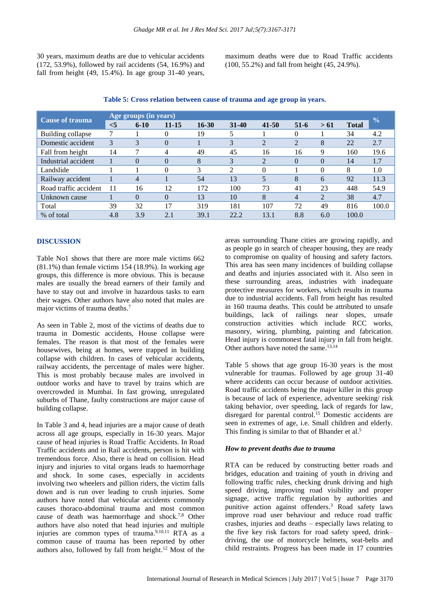30 years, maximum deaths are due to vehicular accidents (172, 53.9%), followed by rail accidents (54, 16.9%) and fall from height  $(49, 15.4\%)$ . In age group 31-40 years, maximum deaths were due to Road Traffic accidents (100, 55.2%) and fall from height (45, 24.9%).

| <b>Cause of trauma</b> | Age groups (in years) |                |           |           |                |                             |                |                |              |               |  |
|------------------------|-----------------------|----------------|-----------|-----------|----------------|-----------------------------|----------------|----------------|--------------|---------------|--|
|                        | $<$ 5                 | $6 - 10$       | $11 - 15$ | $16 - 30$ | $31 - 40$      | $41 - 50$                   | $51 - 6$       | > 61           | <b>Total</b> | $\frac{0}{0}$ |  |
| Building collapse      |                       |                |           | 19        |                |                             | 0              |                | 34           | 4.2           |  |
| Domestic accident      | 3                     | 3              | $\theta$  |           | 3              | $\mathcal{D}_{\mathcal{L}}$ | $\overline{2}$ | 8              | 22           | 2.7           |  |
| Fall from height       | 14                    | −              |           | 49        | 45             | 16                          | 16             | 9              | 160          | 19.6          |  |
| Industrial accident    |                       | $\Omega$       | $\theta$  | 8         | 3              | $\overline{c}$              | $\theta$       | $\Omega$       | 14           | 1.7           |  |
| Landslide              |                       |                | $\Omega$  | 3         | $\mathfrak{D}$ | 0                           |                | $\Omega$       | 8            | 1.0           |  |
| Railway accident       |                       | $\overline{4}$ |           | 54        | 13             |                             | 8              | 6              | 92           | 11.3          |  |
| Road traffic accident  | 11                    | 16             | 12        | 172       | 100            | 73                          | 41             | 23             | 448          | 54.9          |  |
| Unknown cause          |                       | $\Omega$       | $\Omega$  | 13        | 10             | 8                           | $\overline{4}$ | $\overline{2}$ | 38           | 4.7           |  |
| Total                  | 39                    | 32             | 17        | 319       | 181            | 107                         | 72             | 49             | 816          | 100.0         |  |
| % of total             | 4.8                   | 3.9            | 2.1       | 39.1      | 22.2           | 13.1                        | 8.8            | 6.0            | 100.0        |               |  |

#### **Table 5: Cross relation between cause of trauma and age group in years.**

#### **DISCUSSION**

Table No1 shows that there are more male victims 662  $(81.1\%)$  than female victims 154 (18.9%). In working age groups, this difference is more obvious. This is because males are usually the bread earners of their family and have to stay out and involve in hazardous tasks to earn their wages. Other authors have also noted that males are major victims of trauma deaths. 7

As seen in Table 2, most of the victims of deaths due to trauma in Domestic accidents, House collapse were females. The reason is that most of the females were housewives, being at homes, were trapped in building collapse with children. In cases of vehicular accidents, railway accidents, the percentage of males were higher. This is most probably because males are involved in outdoor works and have to travel by trains which are overcrowded in Mumbai. In fast growing, unregulated suburbs of Thane, faulty constructions are major cause of building collapse.

In Table 3 and 4, head injuries are a major cause of death across all age groups, especially in 16-30 years. Major cause of head injuries is Road Traffic Accidents. In Road Traffic accidents and in Rail accidents, person is hit with tremendous force. Also, there is head on collision. Head injury and injuries to vital organs leads to haemorrhage and shock. In some cases, especially in accidents involving two wheelers and pillion riders, the victim falls down and is run over leading to crush injuries. Some authors have noted that vehicular accidents commonly causes thoraco-abdominal trauma and most common cause of death was haemorrhage and shock. 7,8 Other authors have also noted that head injuries and multiple injuries are common types of trauma. $9,10,11$  RTA as a common cause of trauma has been reported by other authors also, followed by fall from height. <sup>12</sup> Most of the areas surrounding Thane cities are growing rapidly, and as people go in search of cheaper housing, they are ready to compromise on quality of housing and safety factors. This area has seen many incidences of building collapse and deaths and injuries associated with it. Also seen in these surrounding areas, industries with inadequate protective measures for workers, which results in trauma due to industrial accidents. Fall from height has resulted in 160 trauma deaths. This could be attributed to unsafe buildings, lack of railings near slopes, unsafe construction activities which include RCC works, masonry, wiring, plumbing, painting and fabrication. Head injury is commonest fatal injury in fall from height. Other authors have noted the same. 13,14

Table 5 shows that age group 16-30 years is the most vulnerable for traumas. Followed by age group 31-40 where accidents can occur because of outdoor activities. Road traffic accidents being the major killer in this group is because of lack of experience, adventure seeking/ risk taking behavior, over speeding, lack of regards for law, disregard for parental control. <sup>15</sup> Domestic accidents are seen in extremes of age, i.e. Small children and elderly. This finding is similar to that of Bhander et al.<sup>5</sup>

#### *How to prevent deaths due to trauma*

RTA can be reduced by constructing better roads and bridges, education and training of youth in driving and following traffic rules, checking drunk driving and high speed driving, improving road visibility and proper signage, active traffic regulation by authorities and punitive action against offenders. <sup>3</sup> Road safety laws improve road user behaviour and reduce road traffic crashes, injuries and deaths – especially laws relating to the five key risk factors for road safety speed, drink– driving, the use of motorcycle helmets, seat-belts and child restraints. Progress has been made in 17 countries